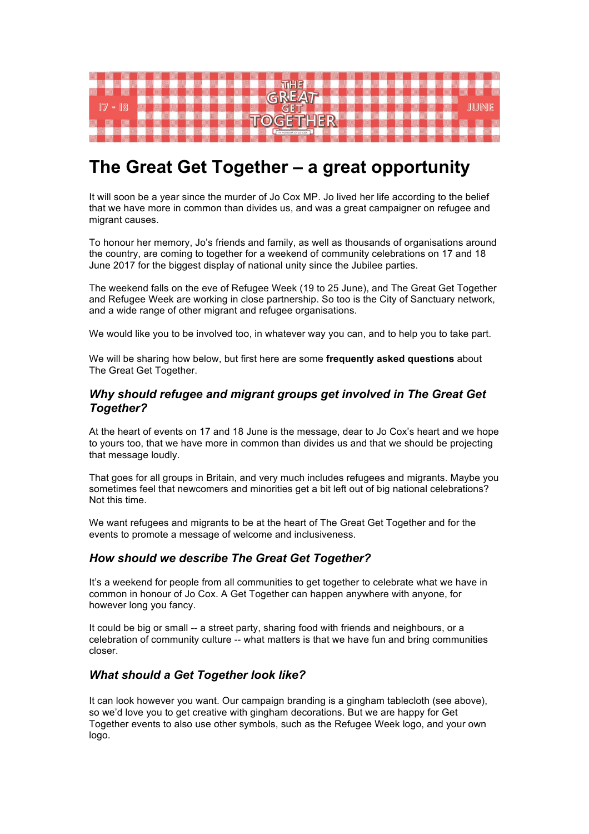

# **The Great Get Together – a great opportunity**

It will soon be a year since the murder of Jo Cox MP. Jo lived her life according to the belief that we have more in common than divides us, and was a great campaigner on refugee and migrant causes.

To honour her memory, Jo's friends and family, as well as thousands of organisations around the country, are coming to together for a weekend of community celebrations on 17 and 18 June 2017 for the biggest display of national unity since the Jubilee parties.

The weekend falls on the eve of Refugee Week (19 to 25 June), and The Great Get Together and Refugee Week are working in close partnership. So too is the City of Sanctuary network, and a wide range of other migrant and refugee organisations.

We would like you to be involved too, in whatever way you can, and to help you to take part.

We will be sharing how below, but first here are some **frequently asked questions** about The Great Get Together.

## *Why should refugee and migrant groups get involved in The Great Get Together?*

At the heart of events on 17 and 18 June is the message, dear to Jo Cox's heart and we hope to yours too, that we have more in common than divides us and that we should be projecting that message loudly.

That goes for all groups in Britain, and very much includes refugees and migrants. Maybe you sometimes feel that newcomers and minorities get a bit left out of big national celebrations? Not this time.

We want refugees and migrants to be at the heart of The Great Get Together and for the events to promote a message of welcome and inclusiveness.

# *How should we describe The Great Get Together?*

It's a weekend for people from all communities to get together to celebrate what we have in common in honour of Jo Cox. A Get Together can happen anywhere with anyone, for however long you fancy.

It could be big or small -- a street party, sharing food with friends and neighbours, or a celebration of community culture -- what matters is that we have fun and bring communities closer.

# *What should a Get Together look like?*

It can look however you want. Our campaign branding is a gingham tablecloth (see above), so we'd love you to get creative with gingham decorations. But we are happy for Get Together events to also use other symbols, such as the Refugee Week logo, and your own logo.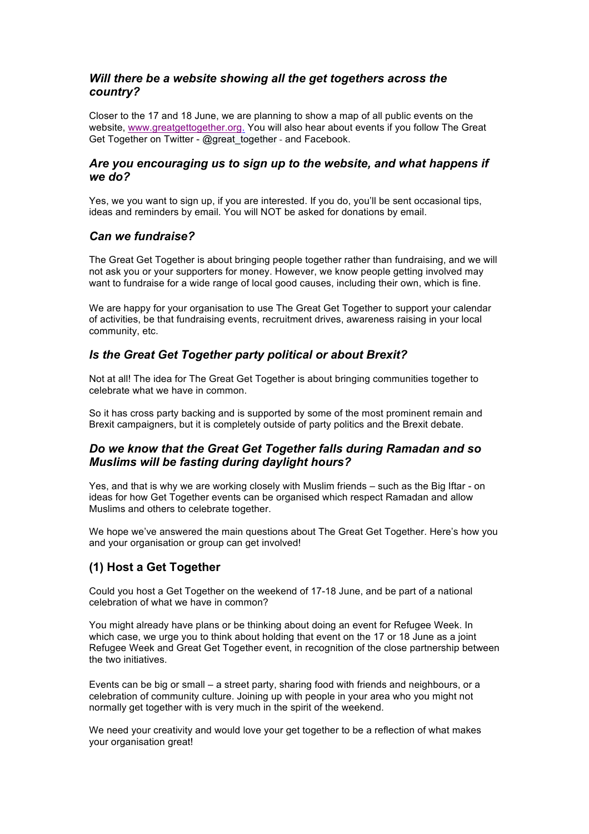# *Will there be a website showing all the get togethers across the country?*

Closer to the 17 and 18 June, we are planning to show a map of all public events on the website, www.greatgettogether.org. You will also hear about events if you follow The Great Get Together on Twitter - @great together - and Facebook.

# *Are you encouraging us to sign up to the website, and what happens if we do?*

Yes, we you want to sign up, if you are interested. If you do, you'll be sent occasional tips, ideas and reminders by email. You will NOT be asked for donations by email.

# *Can we fundraise?*

The Great Get Together is about bringing people together rather than fundraising, and we will not ask you or your supporters for money. However, we know people getting involved may want to fundraise for a wide range of local good causes, including their own, which is fine.

We are happy for your organisation to use The Great Get Together to support your calendar of activities, be that fundraising events, recruitment drives, awareness raising in your local community, etc.

# *Is the Great Get Together party political or about Brexit?*

Not at all! The idea for The Great Get Together is about bringing communities together to celebrate what we have in common.

So it has cross party backing and is supported by some of the most prominent remain and Brexit campaigners, but it is completely outside of party politics and the Brexit debate.

# *Do we know that the Great Get Together falls during Ramadan and so Muslims will be fasting during daylight hours?*

Yes, and that is why we are working closely with Muslim friends – such as the Big Iftar - on ideas for how Get Together events can be organised which respect Ramadan and allow Muslims and others to celebrate together.

We hope we've answered the main questions about The Great Get Together. Here's how you and your organisation or group can get involved!

# **(1) Host a Get Together**

Could you host a Get Together on the weekend of 17-18 June, and be part of a national celebration of what we have in common?

You might already have plans or be thinking about doing an event for Refugee Week. In which case, we urge you to think about holding that event on the 17 or 18 June as a joint Refugee Week and Great Get Together event, in recognition of the close partnership between the two initiatives.

Events can be big or small – a street party, sharing food with friends and neighbours, or a celebration of community culture. Joining up with people in your area who you might not normally get together with is very much in the spirit of the weekend.

We need your creativity and would love your get together to be a reflection of what makes your organisation great!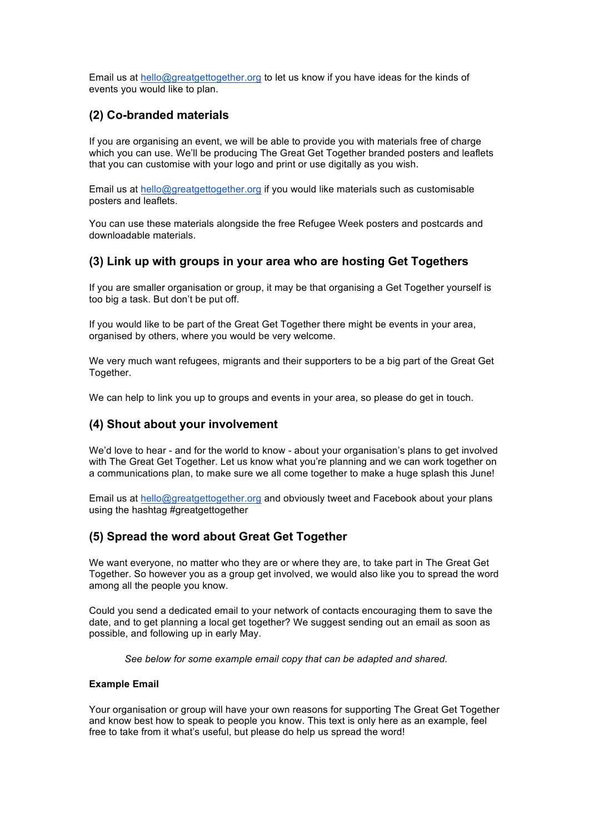Email us at hello@greatgettogether.org to let us know if you have ideas for the kinds of events you would like to plan.

# **(2) Co-branded materials**

If you are organising an event, we will be able to provide you with materials free of charge which you can use. We'll be producing The Great Get Together branded posters and leaflets that you can customise with your logo and print or use digitally as you wish.

Email us at hello@greatgettogether.org if you would like materials such as customisable posters and leaflets.

You can use these materials alongside the free Refugee Week posters and postcards and downloadable materials.

# **(3) Link up with groups in your area who are hosting Get Togethers**

If you are smaller organisation or group, it may be that organising a Get Together yourself is too big a task. But don't be put off.

If you would like to be part of the Great Get Together there might be events in your area, organised by others, where you would be very welcome.

We very much want refugees, migrants and their supporters to be a big part of the Great Get Together.

We can help to link you up to groups and events in your area, so please do get in touch.

# **(4) Shout about your involvement**

We'd love to hear - and for the world to know - about your organisation's plans to get involved with The Great Get Together. Let us know what you're planning and we can work together on a communications plan, to make sure we all come together to make a huge splash this June!

Email us at hello@greatgettogether.org and obviously tweet and Facebook about your plans using the hashtag #greatgettogether

# **(5) Spread the word about Great Get Together**

We want everyone, no matter who they are or where they are, to take part in The Great Get Together. So however you as a group get involved, we would also like you to spread the word among all the people you know.

Could you send a dedicated email to your network of contacts encouraging them to save the date, and to get planning a local get together? We suggest sending out an email as soon as possible, and following up in early May.

*See below for some example email copy that can be adapted and shared.*

### **Example Email**

Your organisation or group will have your own reasons for supporting The Great Get Together and know best how to speak to people you know. This text is only here as an example, feel free to take from it what's useful, but please do help us spread the word!